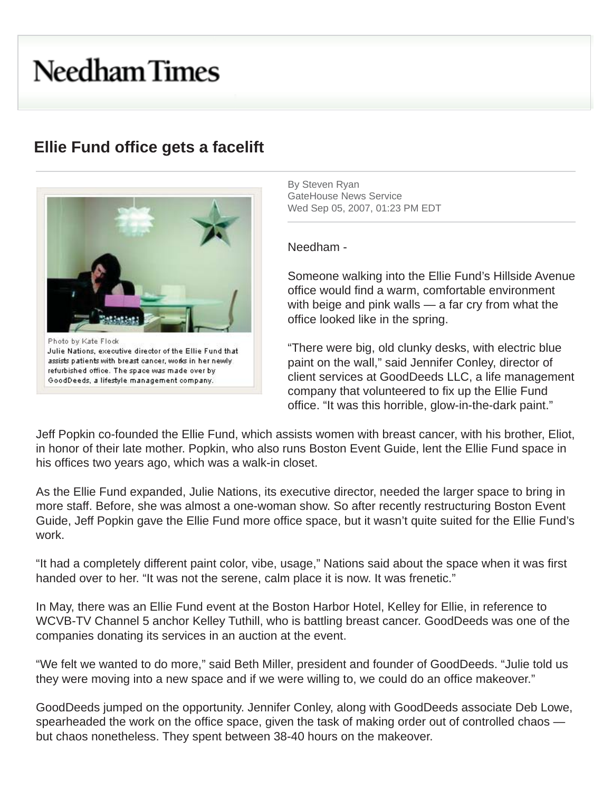## **Needham Times**

## **Ellie Fund office gets a facelift**



By Steven Ryan GateHouse News Service Wed Sep 05, 2007, 01:23 PM EDT

Needham -

 Someone walking into the Ellie Fund's Hillside Avenue office would find a warm, comfortable environment with beige and pink walls — a far cry from what the office looked like in the spring.

assists patients with breast cancer, works in her newly **and paint on the wall,"** said Jennifer Conley, director of refurbished office. The space was made over by Consideration of the space was made over by the client services at GoodDeeds LLC, a life management company that volunteered to fix up the Ellie Fund office. "It was this horrible, glow-in-the-dark paint."

Jeff Popkin co-founded the Ellie Fund, which assists women with breast cancer, with his brother, Eliot, in honor of their late mother. Popkin, who also runs Boston Event Guide, lent the Ellie Fund space in his offices two years ago, which was a walk-in closet.

As the Ellie Fund expanded, Julie Nations, its executive director, needed the larger space to bring in more staff. Before, she was almost a one-woman show. So after recently restructuring Boston Event Guide, Jeff Popkin gave the Ellie Fund more office space, but it wasn't quite suited for the Ellie Fund's work.

"It had a completely different paint color, vibe, usage," Nations said about the space when it was first handed over to her. "It was not the serene, calm place it is now. It was frenetic."

In May, there was an Ellie Fund event at the Boston Harbor Hotel, Kelley for Ellie, in reference to WCVB-TV Channel 5 anchor Kelley Tuthill, who is battling breast cancer. GoodDeeds was one of the companies donating its services in an auction at the event.

"We felt we wanted to do more," said Beth Miller, president and founder of GoodDeeds. "Julie told us they were moving into a new space and if we were willing to, we could do an office makeover."

GoodDeeds jumped on the opportunity. Jennifer Conley, along with GoodDeeds associate Deb Lowe, spearheaded the work on the office space, given the task of making order out of controlled chaos but chaos nonetheless. They spent between 38-40 hours on the makeover.